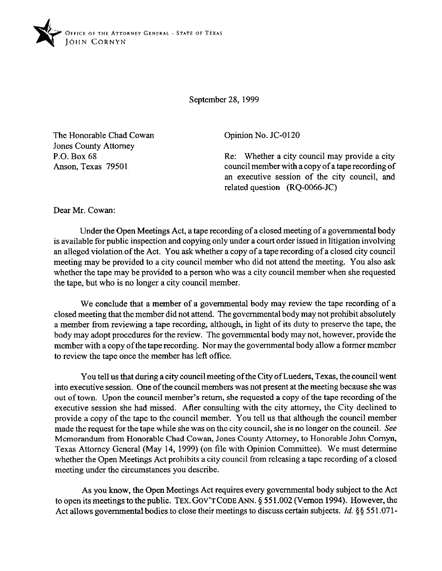

September 28,1999

The Honorable Chad Cowan Jones County Attorney P.O. Box 68 Anson, Texas 79501

Opinion No. JC-0120

Re: Whether a city council may provide a city council member with a copy of a tape recording of an executive session of the city council, and related question (RQ-0066-JC)

Dear Mr. Cowan:

Under the Open Meetings Act, a tape recording of a closed meeting of a governmental body is available for public inspection and copying only under a court order issued in litigation involving an alleged violation of the Act. You ask whether a copy of a tape recording of a closed city council meeting may be provided to a city council member who did not attend the meeting. You also ask whether the tape may be provided to a person who was a city council member when she requested the tape, but who is no longer a city council member.

We conclude that a member of a governmental body may review the tape recording of a closed meeting that the member did not attend. The governmental body may not prohibit absolutely a member from reviewing a tape recording, although, in light of its duty to preserve the tape, the body may adopt procedures for the review. The governmental body may not, however, provide the member with a copy of the tape recording. Nor may the governmental body allow a former member to review the tape once the member has left office.

You tell us that during a city council meeting of the City of Lueders, Texas, the council went into executive session. One of the council members was not present at the meeting because she was out of town. Upon the council member's return, she requested a copy of the tape recording of the executive session she had missed. After consulting with the city attorney, the City declined to provide a copy of the tape to the council member. You tell us that although the council member made the request for the tape while she was on the city council, she is no longer on the council. See Memorandum from Honorable Chad Cowan, Jones County Attorney, to Honorable John Comyn, Texas Attorney General (May 14, 1999) (on file with Opinion Committee). We must determine whether the Open Meetings Act prohibits a city council from releasing a tape recording of a closed meeting under the circumstances you describe.

As you know, the Open Meetings Act requires every governmental body subject to the Act to open its meetings to the public. TEX. GOV'T CODE ANN. § 551.002 (Vernon 1994). However, the Act allows governmental bodies to close their meetings to discuss certain subjects. *Id.* §§ 551.071-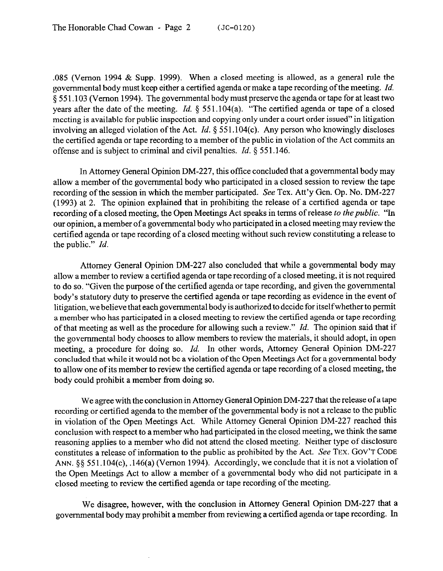.085 (Vernon 1994 & Supp. 1999). When a closed meeting is allowed, as a general rule the governmental body must keep either a certified agenda or make a tape recording of the meeting. *Id.*  5 55 1.103 (Vernon 1994). The governmental body must preserve the agenda or tape for at least two years after the date of the meeting. *Id.* § 551.104(a). "The certified agenda or tape of a closed meeting is available for public inspection and copying only under a court order issued" in litigation involving an alleged violation of the Act. *Id.* § 551.104(c). Any person who knowingly discloses the certified agenda or tape recording to a member of the public in violation of the Act commits an offense and is subject to criminal and civil penalties. *Id. 5 55* 1.146.

In Attorney General Opinion DM-227, this office concluded that a governmental body may allow a member of the governmental body who participated in a closed session to review the tape recording of the session in which the member participated. See Tex. Att'y Gen. Op. No. DM-227 (1993) at 2. The opinion explained that in prohibiting the release of a certified agenda or tape recording of a closed meeting, the Open Meetings Act speaks in terms of release *to the public.* "In our opinion, a member of a governmental body who participated in a closed meeting may review the certified agenda or tape recording of a closed meeting without such review constituting a release to the public." *Id.* 

Attorney General Opinion DM-227 also concluded that while a governmental body may allow a member to review a certified agenda or tape recording of a closed meeting, it is not required to do so. "Given the purpose of the certified agenda or tape recording, and given the governmental body's statutory duty to preserve the certified agenda or tape recording as evidence in the event of litigation, we believe that each governmental body is authorized to decide for itselfwhether to permit a member who has participated in a closed meeting to review the certified agenda or tape recording of that meeting as well as the procedure for allowing such a review." *Id.* The opinion said that if the governmental body chooses to allow members to review the materials, it should adopt, in open meeting, a procedure for doing so. *Id.* In other words, Attorney General Opinion DM-227 concluded that while it would not be a violation of the Open Meetings Act for a governmental body to allow one of its member to review the certified agenda or tape recording of a closed meeting, the body could prohibit a member from doing so.

We agree with the conclusion in Attorney General Opinion DM-227 that the release of a tape recording or certified agenda to the member of the governmental body is not a release to the public in violation of the Open Meetings Act. While Attorney General Opinion DM-227 reached this conclusion with respect to a member who had participated in the closed meeting, we think the same reasoning applies to a member who did not attend the closed meeting. Neither type of disclosure constitutes a release of information to the public as prohibited by the Act. See **TEX. GOV'T CODE ANN.** §§ 551.104(c), .146(a) (Vernon 1994). Accordingly, we conclude that it is not a violation of the Open Meetings Act to allow a member of a governmental body who did not participate in a closed meeting to review the certified agenda or tape recording of the meeting.

We disagree, however, with the conclusion in Attorney General Opinion DM-227 that a governmental body may prohibit a member from reviewing a certified agenda or tape recording. In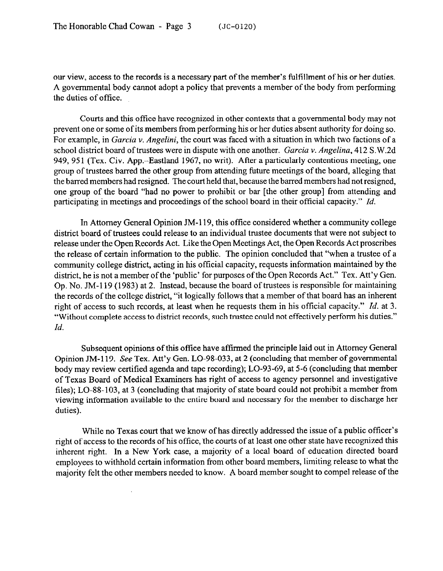our view, access to the records is a necessary part of the member's fulfillment of his or her duties. A governmental body cannot adopt a policy that prevents a member of the body from performing the duties of office.

Courts and this office have recognized in other contexts that a governmental body may not prevent one or some of its members from performing his or her duties absent authority for doing so. For example, in *Garcia v. Angelini,* the court was faced with a situation in which two factions of a school district board of trustees were in dispute with one another. *Garcia Y. Angelina,* 412 S.W.2d 949, 951 (Tex. Civ. App.--Eastland 1967, no writ). After a particularly contentious meeting, one group of trustees barred the other group from attending future meetings of the board, alleging that the barred members had resigned. The court held that, because the barred members had not resigned, one group of the board "had no power to prohibit or bar [the other group] from attending and participating in meetings and proceedings of the school board in their official capacity." *Id.* 

In Attorney General Opinion JM-119, this office considered whether a community college district board of trustees could release to an individual trustee documents that were not subject to release under the Open Records Act. Like the Open Meetings Act, the Open Records Act proscribes the release of certain information to the public. The opinion concluded that "when a trustee of a community college district, acting in his official capacity, requests information maintained by the district, he is not a member of the 'public' for purposes of the Open Records Act." Tex. Att'y Gen. Op. No. JM-119 (1983) at 2. Instead, because the board of trustees is responsible for maintaining the records of the college district, "it logically follows that a member of that board has an inherent right of access to such records, at least when he requests them in his official capacity." *Id.* at 3. "Without complete access to district records, such trustee could not effectively perform his duties." *Id.* 

Subsequent opinions of this office have aftirmed the principle laid out in Attorney General Opinion JM-119. See Tex. Att'y Gen. LO-98-033, at 2 (concluding that member of governmental body may review certified agenda and tape recording); LO-93-69, at 5-6 (concluding that member of Texas Board of Medical Examiners has right of access to agency personnel and investigative files); LO-88-103, at 3 (concluding that majority of state board could not prohibit a member from viewing information available to the entire board and necessary for the member to discharge her duties).

While no Texas court that we know of has directly addressed the issue of a public officer's right of access to the records of his office, the courts of at least one other state have recognized this inherent right. In a New York case, a majority of a local board of education directed board employees to withhold certain information from other board members, limiting release to what the majority felt the other members needed to know. A board member sought to compel release of the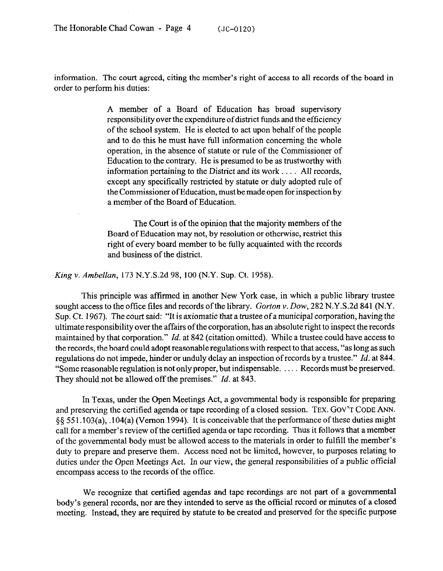information. The court agreed, citing the member's right of access to all records of the board in order to perform his duties:

> A member of a Board of Education has broad supervisory responsibility over the expenditure of district funds and the efficiency of the school system. He is elected to act upon behalf of the people and to do this he must have full information concerning the whole operation, in the absence of statute or rule of the Commissioner of Education to the contrary. He is presumed to be as trustworthy with information pertaining to the District and its work  $\dots$ . All records, except any specifically restricted by statute or duly adopted rule of the Commissioner of Education, must be made open for inspection by a member of the Board of Education.

> The Court is of the opinion that the majority members of the Board of Education may not, by resolution or otherwise, restrict this right of every board member to be fully acquainted with the records and business of the district.

*King v. Ambellan,* 173 N.Y.S.2d 98, 100 (N.Y. Sup. Ct. 1958)

This principle was affirmed in another New York case, in which a public library trustee sought access to the office files and records of the library. *Gorton v. Dow*, 282 N.Y.S.2d 841 (N.Y. Sup. Ct. 1967). The court said: "It is axiomatic that a trustee of a municipal corporation, having the ultimate responsibility over the affairs of the corporation, has an absolute right to inspect the records maintained by that corporation." *Id.* at 842 (citation omitted). While a trustee could have access to the records, the board could adopt reasonable regulations with respect to that access, "as long as such regulations do not impede, hinder or unduly delay an inspection ofrecords by a trustee." *Id.* at 844. "Some reasonable regulation is not only proper, but indispensable.  $\ldots$ . Records must be preserved. They should not be allowed off the premises." *Id.* at 843.

In Texas, under the Open Meetings Act, a governmental body is responsible for preparing and preserving the certified agenda or tape recording of a closed session. **TEX. GOV'T CODE ANN.**   $\S$ § 551.103(a), .104(a) (Vernon 1994). It is conceivable that the performance of these duties might call for a member's review of the certified agenda or tape recording. Thus it follows that a member of the governmental body must be allowed access to the materials in order to fulfill the member's duty to prepare and preserve them. Access need not be limited, however, to purposes relating to duties under the Open *Meetings* Act. In our view, the general responsibilities of a public official encompass access to the records of the office.

We recognize that certified agendas and tape recordings are not part of a governmental body's general records, nor are they intended to serve as the official record or minutes of a closed meeting. Instead, they are required by statute to be created and preserved for the specific purpose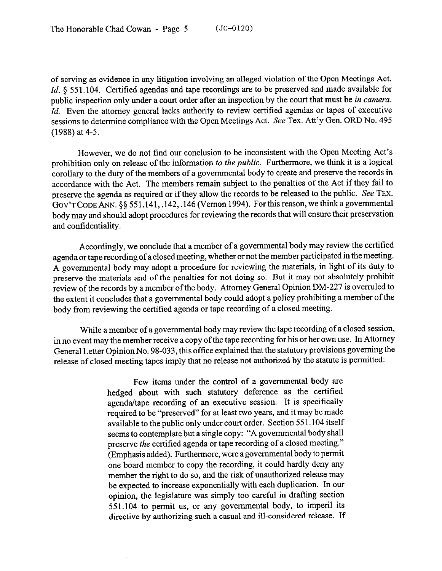of serving as evidence in any litigation involving an alleged violation of the Open Meetings Act. Id. § 551.104. Certified agendas and tape recordings are to be preserved and made available for public inspection only under a court order after an inspection by the court that must be *in camera. Id.* Even the attorney general lacks authority to review certified agendas or tapes of executive sessions to determine compliance with the Open Meetings Act. See Tex. Att'y Gen. ORD No. 495 (1988) at 4-5.

However, we do not find our conclusion to be inconsistent with the Open Meeting Act's prohibition only on release of the information *to the public*. Furthermore, we think it is a logical corollary to the duty of the members of a governmental body to create and preserve the records in accordance with the Act. The members remain subject to the penalties of the Act if they fail to preserve the agenda as required or if they allow the records to be released to the public. See **TEX.**  GOV'T CODE ANN. §§ 551.141, .142, .146 (Vernon 1994). For this reason, we think a governmental body may and should adopt procedures for reviewing the records that will ensure their preservation and confidentiality.

Accordingly, we conclude that a member of a governmental body may review the certified agenda or tape recording of a closed meeting, whether or not the member participated in the meeting. A governmental body may adopt a procedure for reviewing the materials, in light of its duty to preserve the materials and of the penalties for not doing so. But it may not absolutely prohibit review of the records by a member of the body. Attorney General Opinion DM-227 is overruled to the extent it concludes that a governmental body could adopt a policy prohibiting a member of the body from reviewing the certified agenda or tape recording of a closed meeting.

While a member of a governmental body may review the tape recording of a closed session, in no event may the member receive a copy of the tape recording for his or her own use. In Attorney General Letter Opinion No. 98-033, this office explained that the statutory provisions governing the release of closed meeting tapes imply that no release not authorized by the statute is permitted:

> Few items under the control of a governmental body are hedged about with such statutory deference as the certified agenda/tape recording of an executive session. It is specifically required to be "preserved" for at least two years, and it may be made available to the public only under court order. Section 55 1.104 itself seems to contemplate but a single copy: "A governmental body shall preserve the certified agenda or tape recording of a closed meeting." (Emphasis added). Furthermore, were a governmental body to permit one board member to copy the recording, it could hardly deny any member the right to do so, and the risk of unauthorized release may be expected to increase exponentially with each duplication. In our opinion, the legislature was simply too careful in drafting section 551.104 to permit us, or any governmental body, to imperil its directive by authorizing such a casual and ill-considered release. If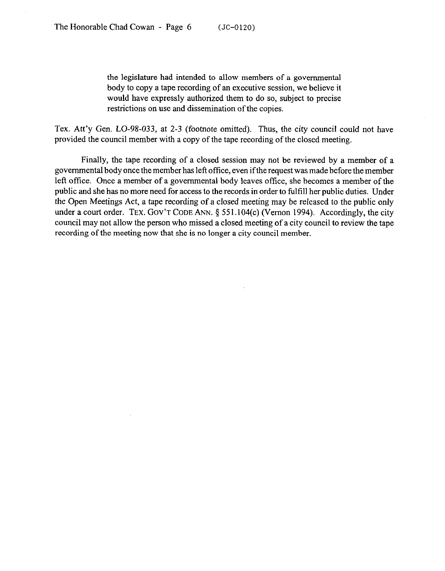the legislature had intended to allow members of a governmental body to copy a tape recording of an executive session, we believe it would have expressly authorized them to do so, subject to precise restrictions on use and dissemination of the copies.

Tex. Att'y Gen. LO-98-033, at 2-3 (footnote omitted). Thus, the city council could not have provided the council member with a copy of the tape recording of the closed meeting.

Finally, the tape recording of a closed session may not be reviewed by a member of a governmental body once the member has left office, even ifthe request was made before the member left office. Once a member of a governmental body leaves office, she becomes a member of the public and she has no more need for access to the records in order to fulfill her public duties. Under the Open Meetings Act, a tape recording of a closed meeting may be released to the public only under a court order. TEX. GOV'T CODE ANN. § 551.104(c) (Vernon 1994). Accordingly, the city council may not allow the person who missed a closed meeting of a city council to review the tape recording of the meeting now that she is no longer a city council member.